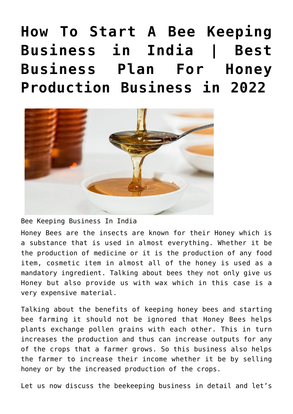**[How To Start A Bee Keeping](https://inbusinessideas.com/start-a-bee-keeping-business-in-india/) [Business in India | Best](https://inbusinessideas.com/start-a-bee-keeping-business-in-india/) [Business Plan For Honey](https://inbusinessideas.com/start-a-bee-keeping-business-in-india/) [Production Business in 2022](https://inbusinessideas.com/start-a-bee-keeping-business-in-india/)**



Bee Keeping Business In India

Honey Bees are the insects are known for their Honey which is a substance that is used in almost everything. Whether it be the production of medicine or it is the production of any food item, cosmetic item in almost all of the honey is used as a mandatory ingredient. Talking about bees they not only give us Honey but also provide us with wax which in this case is a very expensive material.

Talking about the benefits of keeping honey bees and starting bee farming it should not be ignored that Honey Bees helps plants exchange pollen grains with each other. This in turn increases the production and thus can increase outputs for any of the crops that a farmer grows. So this business also helps the farmer to increase their income whether it be by selling honey or by the increased production of the crops.

Let us now discuss the beekeeping business in detail and let's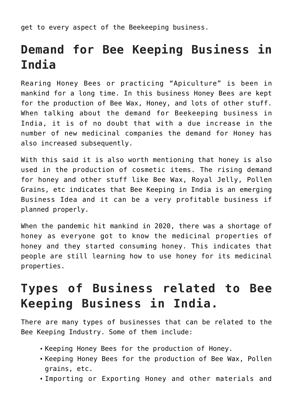get to every aspect of the Beekeeping business.

# **Demand for Bee Keeping Business in India**

Rearing Honey Bees or practicing "Apiculture" is been in mankind for a long time. In this business Honey Bees are kept for the production of Bee Wax, Honey, and lots of other stuff. When talking about the demand for Beekeeping business in India, it is of no doubt that with a due increase in the number of new medicinal companies the demand for Honey has also increased subsequently.

With this said it is also worth mentioning that honey is also used in the production of cosmetic items. The rising demand for honey and other stuff like Bee Wax, Royal Jelly, Pollen Grains, etc indicates that Bee Keeping in India is an emerging Business Idea and it can be a very profitable business if planned properly.

When the pandemic hit mankind in 2020, there was a shortage of honey as everyone got to know the medicinal properties of honey and they started consuming honey. This indicates that people are still learning how to use honey for its medicinal properties.

## **Types of Business related to Bee Keeping Business in India.**

There are many types of businesses that can be related to the Bee Keeping Industry. Some of them include:

- Keeping Honey Bees for the production of Honey.
- Keeping Honey Bees for the production of Bee Wax, Pollen grains, etc.
- Importing or Exporting Honey and other materials and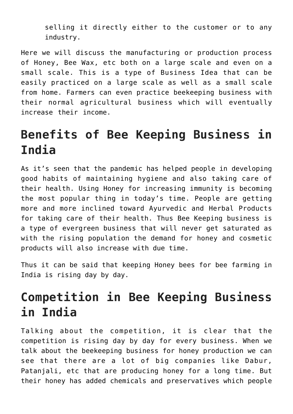selling it directly either to the customer or to any industry.

Here we will discuss the manufacturing or production process of Honey, Bee Wax, etc both on a large scale and even on a small scale. This is a type of Business Idea that can be easily practiced on a large scale as well as a small scale from home. Farmers can even practice beekeeping business with their normal agricultural business which will eventually increase their income.

### **Benefits of Bee Keeping Business in India**

As it's seen that the pandemic has helped people in developing good habits of maintaining hygiene and also taking care of their health. Using Honey for increasing immunity is becoming the most popular thing in today's time. People are getting more and more inclined toward Ayurvedic and Herbal Products for taking care of their health. Thus Bee Keeping business is a type of evergreen business that will never get saturated as with the rising population the demand for honey and cosmetic products will also increase with due time.

Thus it can be said that keeping Honey bees for bee farming in India is rising day by day.

## **Competition in Bee Keeping Business in India**

Talking about the competition, it is clear that the competition is rising day by day for every business. When we talk about the beekeeping business for honey production we can see that there are a lot of big companies like Dabur, Patanjali, etc that are producing honey for a long time. But their honey has added chemicals and preservatives which people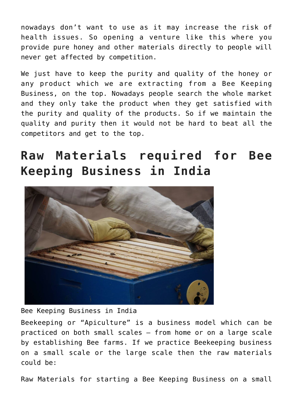nowadays don't want to use as it may increase the risk of health issues. So opening a venture like this where you provide pure honey and other materials directly to people will never get affected by competition.

We just have to keep the purity and quality of the honey or any product which we are extracting from a Bee Keeping Business, on the top. Nowadays people search the whole market and they only take the product when they get satisfied with the purity and quality of the products. So if we maintain the quality and purity then it would not be hard to beat all the competitors and get to the top.

## **Raw Materials required for Bee Keeping Business in India**



Bee Keeping Business in India

Beekeeping or "Apiculture" is a business model which can be practiced on both small scales – from home or on a large scale by establishing Bee farms. If we practice Beekeeping business on a small scale or the large scale then the raw materials could be:

Raw Materials for starting a Bee Keeping Business on a small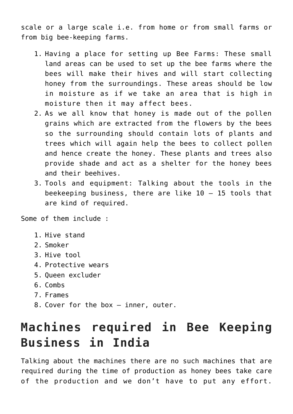scale or a large scale i.e. from home or from small farms or from big bee-keeping farms.

- 1. Having a place for setting up Bee Farms: These small land areas can be used to set up the bee farms where the bees will make their hives and will start collecting honey from the surroundings. These areas should be low in moisture as if we take an area that is high in moisture then it may affect bees.
- 2. As we all know that honey is made out of the pollen grains which are extracted from the flowers by the bees so the surrounding should contain lots of plants and trees which will again help the bees to collect pollen and hence create the honey. These plants and trees also provide shade and act as a shelter for the honey bees and their beehives.
- 3. Tools and equipment: Talking about the tools in the beekeeping business, there are like 10 – 15 tools that are kind of required.

Some of them include :

- 1. Hive stand
- 2. Smoker
- 3. Hive tool
- 4. Protective wears
- 5. Queen excluder
- 6. Combs
- 7. Frames
- 8. Cover for the box inner, outer.

### **Machines required in Bee Keeping Business in India**

Talking about the machines there are no such machines that are required during the time of production as honey bees take care of the production and we don't have to put any effort.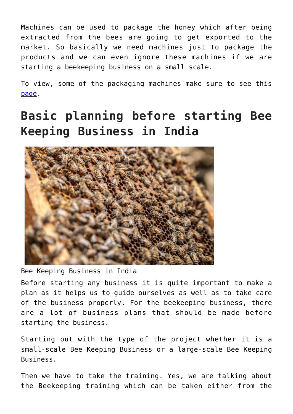Machines can be used to package the honey which after being extracted from the bees are going to get exported to the market. So basically we need machines just to package the products and we can even ignore these machines if we are starting a beekeeping business on a small scale.

To view, some of the packaging machines make sure to see this [page](https://www.propac.com/packaging-equipment/).

## **Basic planning before starting Bee Keeping Business in India**



Bee Keeping Business in India

Before starting any business it is quite important to make a plan as it helps us to guide ourselves as well as to take care of the business properly. For the beekeeping business, there are a lot of business plans that should be made before starting the business.

Starting out with the type of the project whether it is a small-scale Bee Keeping Business or a large-scale Bee Keeping Business.

Then we have to take the training. Yes, we are talking about the Beekeeping training which can be taken either from the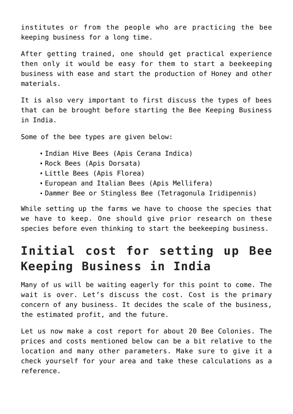institutes or from the people who are practicing the bee keeping business for a long time.

After getting trained, one should get practical experience then only it would be easy for them to start a beekeeping business with ease and start the production of Honey and other materials.

It is also very important to first discuss the types of bees that can be brought before starting the Bee Keeping Business in India.

Some of the bee types are given below:

- Indian Hive Bees (Apis Cerana Indica)
- Rock Bees (Apis Dorsata)
- Little Bees (Apis Florea)
- European and Italian Bees (Apis Mellifera)
- Dammer Bee or Stingless Bee (Tetragonula Iridipennis)

While setting up the farms we have to choose the species that we have to keep. One should give prior research on these species before even thinking to start the beekeeping business.

#### **Initial cost for setting up Bee Keeping Business in India**

Many of us will be waiting eagerly for this point to come. The wait is over. Let's discuss the cost. Cost is the primary concern of any business. It decides the scale of the business, the estimated profit, and the future.

Let us now make a cost report for about 20 Bee Colonies. The prices and costs mentioned below can be a bit relative to the location and many other parameters. Make sure to give it a check yourself for your area and take these calculations as a reference.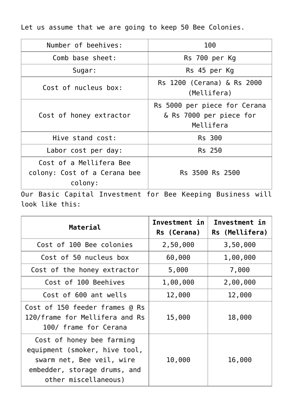Let us assume that we are going to keep 50 Bee Colonies.

| Number of beehives:                                                                                                                                                                                                                                                                                                                                                          | 100                                                                  |  |
|------------------------------------------------------------------------------------------------------------------------------------------------------------------------------------------------------------------------------------------------------------------------------------------------------------------------------------------------------------------------------|----------------------------------------------------------------------|--|
| Comb base sheet:                                                                                                                                                                                                                                                                                                                                                             | Rs 700 per Kg                                                        |  |
| Sugar:                                                                                                                                                                                                                                                                                                                                                                       | Rs 45 per Kg                                                         |  |
| Cost of nucleus box:                                                                                                                                                                                                                                                                                                                                                         | Rs 1200 (Cerana) & Rs 2000<br>(Mellifera)                            |  |
| Cost of honey extractor                                                                                                                                                                                                                                                                                                                                                      | Rs 5000 per piece for Cerana<br>& Rs 7000 per piece for<br>Mellifera |  |
| Hive stand cost:                                                                                                                                                                                                                                                                                                                                                             | Rs 300                                                               |  |
| Labor cost per day:                                                                                                                                                                                                                                                                                                                                                          | <b>Rs</b> 250                                                        |  |
| Cost of a Mellifera Bee<br>colony: Cost of a Cerana bee<br>colony:<br>$\Omega$ is $\mathbf{D}$ and $\mathbf{D}$ and $\mathbf{D}$ and $\mathbf{D}$ and $\mathbf{D}$ and $\mathbf{D}$ and $\mathbf{D}$ and $\mathbf{D}$ and $\mathbf{D}$ and $\mathbf{D}$ and $\mathbf{D}$ and $\mathbf{D}$ and $\mathbf{D}$ and $\mathbf{D}$ and $\mathbf{D}$ and $\mathbf{D}$ and $\mathbf{$ | Rs 3500 Rs 2500                                                      |  |

Our Basic Capital Investment for Bee Keeping Business will look like this:

| Material                                                                                                                                        | Investment in<br>Rs (Cerana) | Investment in<br>Rs (Mellifera) |
|-------------------------------------------------------------------------------------------------------------------------------------------------|------------------------------|---------------------------------|
| Cost of 100 Bee colonies                                                                                                                        | 2,50,000                     | 3,50,000                        |
| Cost of 50 nucleus box                                                                                                                          | 60,000                       | 1,00,000                        |
| Cost of the honey extractor                                                                                                                     | 5,000                        | 7,000                           |
| Cost of 100 Beehives                                                                                                                            | 1,00,000                     | 2,00,000                        |
| Cost of 600 ant wells                                                                                                                           | 12,000                       | 12,000                          |
| Cost of 150 feeder frames @ Rs<br>120/frame for Mellifera and Rs<br>100/ frame for Cerana                                                       | 15,000                       | 18,000                          |
| Cost of honey bee farming<br>equipment (smoker, hive tool,<br>swarm net, Bee veil, wire<br>embedder, storage drums, and<br>other miscellaneous) | 10,000                       | 16,000                          |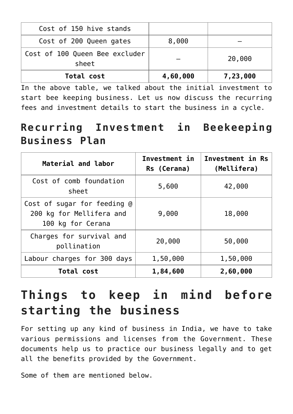| Cost of 150 hive stands                 |          |          |
|-----------------------------------------|----------|----------|
| Cost of 200 Queen gates                 | 8,000    |          |
| Cost of 100 Queen Bee excluder<br>sheet |          | 20,000   |
| Total cost                              | 4,60,000 | 7,23,000 |

In the above table, we talked about the initial investment to start bee keeping business. Let us now discuss the recurring fees and investment details to start the business in a cycle.

#### **Recurring Investment in Beekeeping Business Plan**

| Material and labor                                                           | Investment in<br>Rs (Cerana) | Investment in Rs<br>(Mellifera) |
|------------------------------------------------------------------------------|------------------------------|---------------------------------|
| Cost of comb foundation<br>sheet                                             | 5,600                        | 42,000                          |
| Cost of sugar for feeding @<br>200 kg for Mellifera and<br>100 kg for Cerana | 9,000                        | 18,000                          |
| Charges for survival and<br>pollination                                      | 20,000                       | 50,000                          |
| Labour charges for 300 days                                                  | 1,50,000                     | 1,50,000                        |
| Total cost                                                                   | 1,84,600                     | 2,60,000                        |

# **Things to keep in mind before starting the business**

For setting up any kind of business in India, we have to take various permissions and licenses from the Government. These documents help us to practice our business legally and to get all the benefits provided by the Government.

Some of them are mentioned below.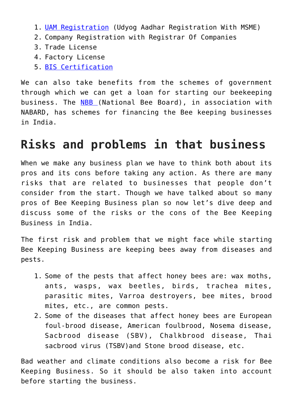- 1. [UAM Registration](https://udyamregistration.gov.in/Government-India/Ministry-MSME-registration.htm) (Udyog Aadhar Registration With MSME)
- 2. Company Registration with Registrar Of Companies
- 3. Trade License
- 4. Factory License
- 5. [BIS Certification](https://www.bis.gov.in/index.php/product-certification/product-certificatin-apply-online/)

We can also take benefits from the schemes of government through which we can get a loan for starting our beekeeping business. The [NBB \(](https://nbb.gov.in/)National Bee Board), in association with NABARD, has schemes for financing the Bee keeping businesses in India.

#### **Risks and problems in that business**

When we make any business plan we have to think both about its pros and its cons before taking any action. As there are many risks that are related to businesses that people don't consider from the start. Though we have talked about so many pros of Bee Keeping Business plan so now let's dive deep and discuss some of the risks or the cons of the Bee Keeping Business in India.

The first risk and problem that we might face while starting Bee Keeping Business are keeping bees away from diseases and pests.

- 1. Some of the pests that affect honey bees are: wax moths, ants, wasps, wax beetles, birds, trachea mites, parasitic mites, Varroa destroyers, bee mites, brood mites, etc., are common pests.
- 2. Some of the diseases that affect honey bees are European foul-brood disease, American foulbrood, Nosema disease, Sacbrood disease (SBV), Chalkbrood disease, Thai sacbrood virus (TSBV)and Stone brood disease, etc.

Bad weather and climate conditions also become a risk for Bee Keeping Business. So it should be also taken into account before starting the business.